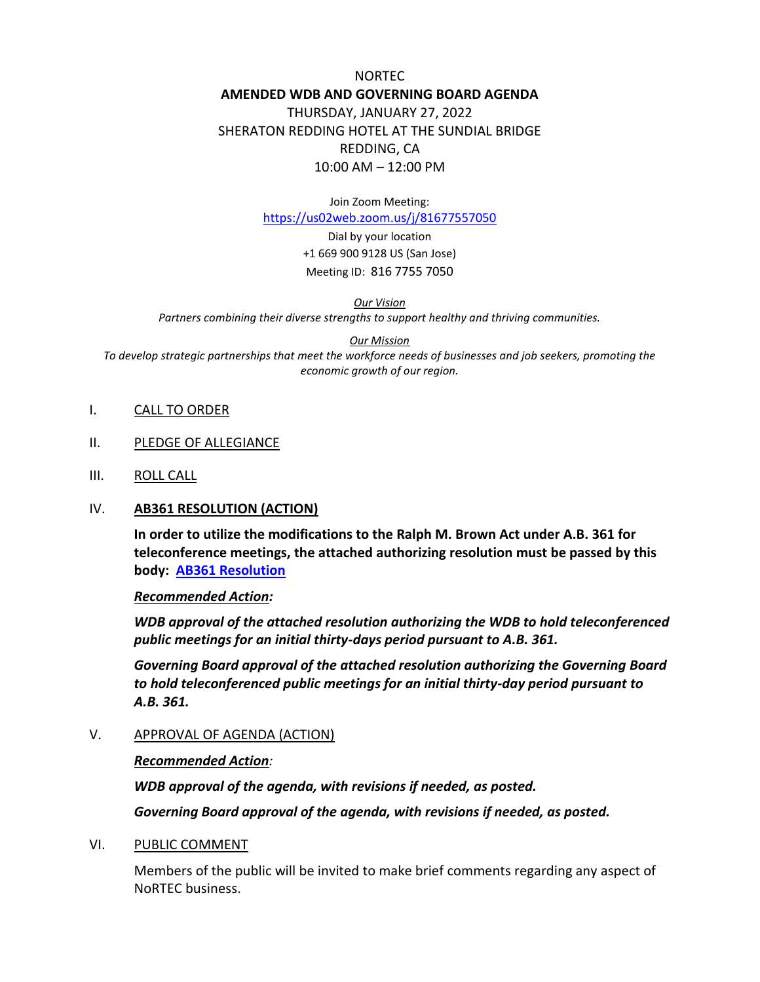NORTEC **AMENDED WDB AND GOVERNING BOARD AGENDA** THURSDAY, JANUARY 27, 2022 SHERATON REDDING HOTEL AT THE SUNDIAL BRIDGE REDDING, CA 10:00 AM – 12:00 PM

Join Zoom Meeting:

<https://us02web.zoom.us/j/81677557050>

Dial by your location +1 669 900 9128 US (San Jose) Meeting ID: 816 7755 7050

*Our Vision* 

*Partners combining their diverse strengths to support healthy and thriving communities.*

*Our Mission*

*To develop strategic partnerships that meet the workforce needs of businesses and job seekers, promoting the economic growth of our region.*

- I. CALL TO ORDER
- II. PLEDGE OF ALLEGIANCE
- III. ROLL CALL

#### IV. **AB361 RESOLUTION (ACTION)**

**In order to utilize the modifications to the Ralph M. Brown Act under A.B. 361 for teleconference meetings, the attached authorizing resolution must be passed by this body: [AB361 Resolution](https://www.ncen.org/images/documents/meetings/2021-2022/NoRTEC-Resolution-BrownAct-WDB-GB.pdf)**

#### *Recommended Action:*

*WDB approval of the attached resolution authorizing the WDB to hold teleconferenced public meetings for an initial thirty-days period pursuant to A.B. 361.*

*Governing Board approval of the attached resolution authorizing the Governing Board to hold teleconferenced public meetings for an initial thirty-day period pursuant to A.B. 361.*

V. APPROVAL OF AGENDA (ACTION)

#### *Recommended Action:*

*WDB approval of the agenda, with revisions if needed, as posted.*

*Governing Board approval of the agenda, with revisions if needed, as posted.*

#### VI. PUBLIC COMMENT

Members of the public will be invited to make brief comments regarding any aspect of NoRTEC business.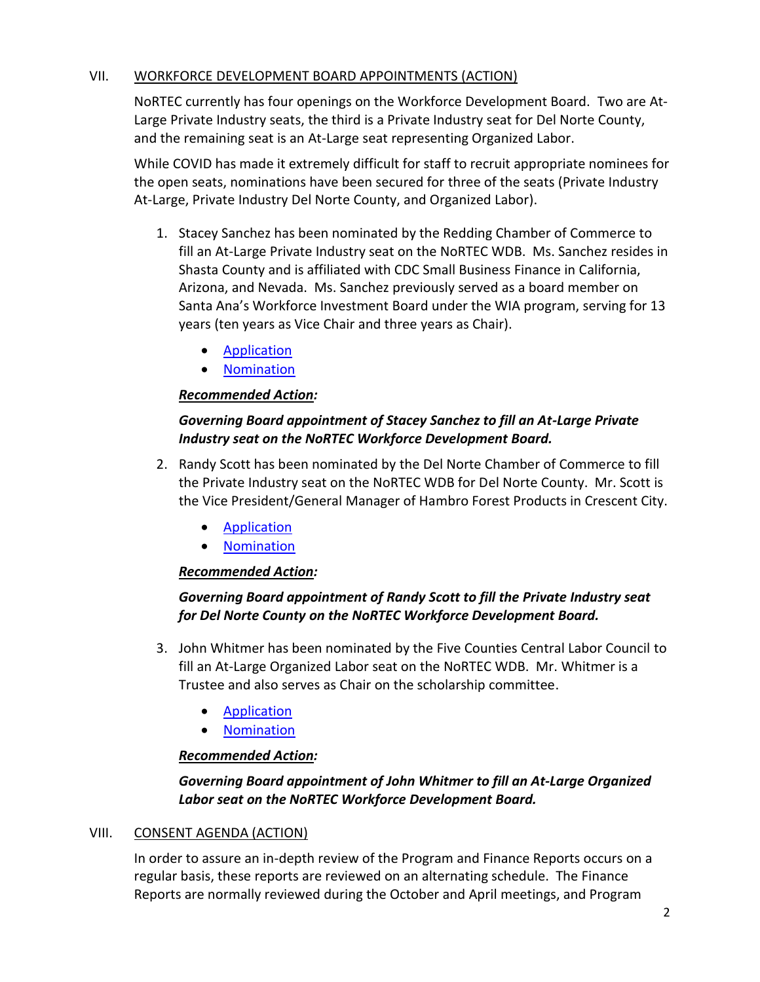## VII. WORKFORCE DEVELOPMENT BOARD APPOINTMENTS (ACTION)

NoRTEC currently has four openings on the Workforce Development Board. Two are At-Large Private Industry seats, the third is a Private Industry seat for Del Norte County, and the remaining seat is an At-Large seat representing Organized Labor.

While COVID has made it extremely difficult for staff to recruit appropriate nominees for the open seats, nominations have been secured for three of the seats (Private Industry At-Large, Private Industry Del Norte County, and Organized Labor).

- 1. Stacey Sanchez has been nominated by the Redding Chamber of Commerce to fill an At-Large Private Industry seat on the NoRTEC WDB. Ms. Sanchez resides in Shasta County and is affiliated with CDC Small Business Finance in California, Arizona, and Nevada. Ms. Sanchez previously served as a board member on Santa Ana's Workforce Investment Board under the WIA program, serving for 13 years (ten years as Vice Chair and three years as Chair).
	- [Application](https://www.ncen.org/images/documents/WDB_Applications/2022/WDB-Application-Sanchez-2022.pdf)
	- [Nomination](https://www.ncen.org/images/documents/WDB_Applications/2022/WDB-Nomination-Sanchez-2022.pdf)

# *Recommended Action:*

## *Governing Board appointment of Stacey Sanchez to fill an At-Large Private Industry seat on the NoRTEC Workforce Development Board.*

- 2. Randy Scott has been nominated by the Del Norte Chamber of Commerce to fill the Private Industry seat on the NoRTEC WDB for Del Norte County. Mr. Scott is the Vice President/General Manager of Hambro Forest Products in Crescent City.
	- **[Application](https://www.ncen.org/images/documents/WDB_Applications/2022/WDB-Application-Scott-2022.pdf)**
	- [Nomination](https://www.ncen.org/images/documents/WDB_Applications/2022/WDB-Nomination-Scott-2022.pdf)

## *Recommended Action:*

# *Governing Board appointment of Randy Scott to fill the Private Industry seat for Del Norte County on the NoRTEC Workforce Development Board.*

- 3. John Whitmer has been nominated by the Five Counties Central Labor Council to fill an At-Large Organized Labor seat on the NoRTEC WDB. Mr. Whitmer is a Trustee and also serves as Chair on the scholarship committee.
	- [Application](https://www.ncen.org/images/documents/WDB_Applications/2022/WDB-Application-Whitmer-2022.pdf)
	- [Nomination](https://www.ncen.org/images/documents/WDB_Applications/2022/WDB-Nomination-Whitmer-2022.pdf)

## *Recommended Action:*

# *Governing Board appointment of John Whitmer to fill an At-Large Organized Labor seat on the NoRTEC Workforce Development Board.*

## VIII. CONSENT AGENDA (ACTION)

In order to assure an in-depth review of the Program and Finance Reports occurs on a regular basis, these reports are reviewed on an alternating schedule. The Finance Reports are normally reviewed during the October and April meetings, and Program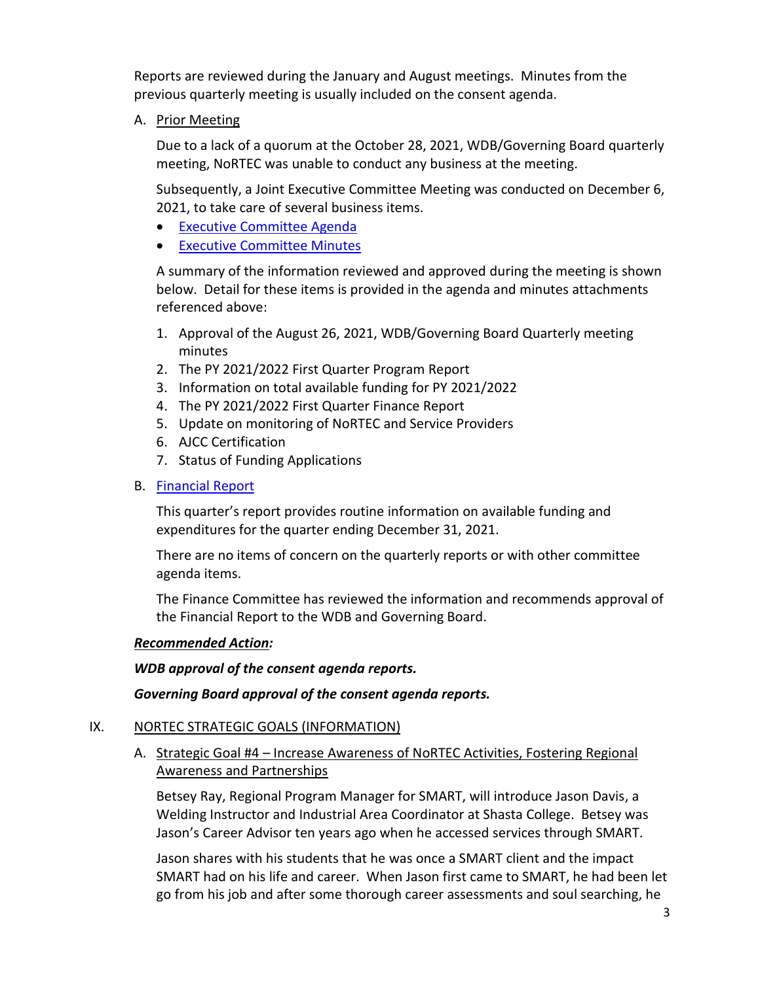Reports are reviewed during the January and August meetings. Minutes from the previous quarterly meeting is usually included on the consent agenda.

A. Prior Meeting

Due to a lack of a quorum at the October 28, 2021, WDB/Governing Board quarterly meeting, NoRTEC was unable to conduct any business at the meeting.

Subsequently, a Joint Executive Committee Meeting was conducted on December 6, 2021, to take care of several business items.

- [Executive Committee Agenda](https://www.ncen.org/images/documents/meetings/2021-2022/eca-1221.pdf)
- **[Executive Committee Minutes](https://www.ncen.org/images/documents/meetings/2021-2022/ecm-1221.pdf)**

A summary of the information reviewed and approved during the meeting is shown below. Detail for these items is provided in the agenda and minutes attachments referenced above:

- 1. Approval of the August 26, 2021, WDB/Governing Board Quarterly meeting minutes
- 2. The PY 2021/2022 First Quarter Program Report
- 3. Information on total available funding for PY 2021/2022
- 4. The PY 2021/2022 First Quarter Finance Report
- 5. Update on monitoring of NoRTEC and Service Providers
- 6. AJCC Certification
- 7. Status of Funding Applications

### B. [Financial Report](https://www.ncen.org/images/documents/meetings/2021-2022/financial-report-wgba-0122.pdf)

This quarter's report provides routine information on available funding and expenditures for the quarter ending December 31, 2021.

There are no items of concern on the quarterly reports or with other committee agenda items.

The Finance Committee has reviewed the information and recommends approval of the Financial Report to the WDB and Governing Board.

### *Recommended Action:*

*WDB approval of the consent agenda reports.*

### *Governing Board approval of the consent agenda reports.*

### IX. NORTEC STRATEGIC GOALS (INFORMATION)

A. Strategic Goal #4 – Increase Awareness of NoRTEC Activities, Fostering Regional Awareness and Partnerships

Betsey Ray, Regional Program Manager for SMART, will introduce Jason Davis, a Welding Instructor and Industrial Area Coordinator at Shasta College. Betsey was Jason's Career Advisor ten years ago when he accessed services through SMART.

Jason shares with his students that he was once a SMART client and the impact SMART had on his life and career. When Jason first came to SMART, he had been let go from his job and after some thorough career assessments and soul searching, he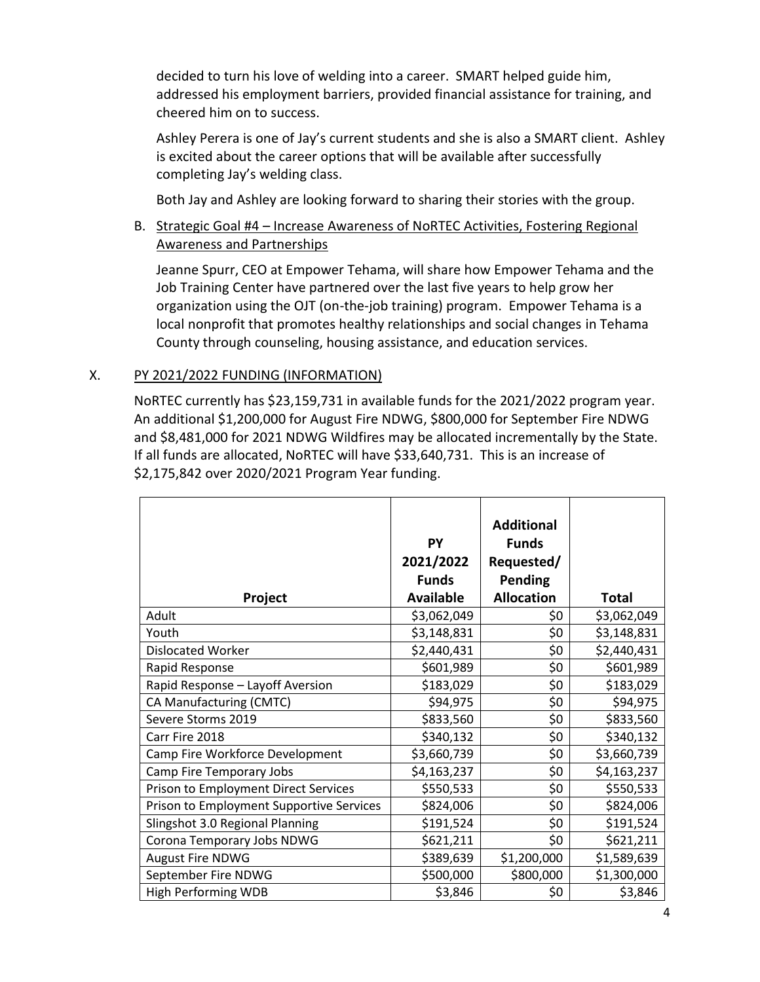decided to turn his love of welding into a career. SMART helped guide him, addressed his employment barriers, provided financial assistance for training, and cheered him on to success.

Ashley Perera is one of Jay's current students and she is also a SMART client. Ashley is excited about the career options that will be available after successfully completing Jay's welding class.

Both Jay and Ashley are looking forward to sharing their stories with the group.

# B. Strategic Goal #4 – Increase Awareness of NoRTEC Activities, Fostering Regional Awareness and Partnerships

Jeanne Spurr, CEO at Empower Tehama, will share how Empower Tehama and the Job Training Center have partnered over the last five years to help grow her organization using the OJT (on-the-job training) program. Empower Tehama is a local nonprofit that promotes healthy relationships and social changes in Tehama County through counseling, housing assistance, and education services.

### X. PY 2021/2022 FUNDING (INFORMATION)

NoRTEC currently has \$23,159,731 in available funds for the 2021/2022 program year. An additional \$1,200,000 for August Fire NDWG, \$800,000 for September Fire NDWG and \$8,481,000 for 2021 NDWG Wildfires may be allocated incrementally by the State. If all funds are allocated, NoRTEC will have \$33,640,731. This is an increase of \$2,175,842 over 2020/2021 Program Year funding.

| Project                                  | <b>PY</b><br>2021/2022<br><b>Funds</b><br><b>Available</b> | <b>Additional</b><br><b>Funds</b><br>Requested/<br><b>Pending</b><br><b>Allocation</b> | <b>Total</b> |
|------------------------------------------|------------------------------------------------------------|----------------------------------------------------------------------------------------|--------------|
| Adult                                    | \$3,062,049                                                | \$0                                                                                    | \$3,062,049  |
| Youth                                    | \$3,148,831                                                | \$0                                                                                    | \$3,148,831  |
| <b>Dislocated Worker</b>                 | \$2,440,431                                                | \$0                                                                                    | \$2,440,431  |
| Rapid Response                           | \$601,989                                                  | \$0                                                                                    | \$601,989    |
| Rapid Response - Layoff Aversion         | \$183,029                                                  | \$0                                                                                    | \$183,029    |
| CA Manufacturing (CMTC)                  | \$94,975                                                   | \$0                                                                                    | \$94,975     |
| Severe Storms 2019                       | \$833,560                                                  | \$0                                                                                    | \$833,560    |
| Carr Fire 2018                           | \$340,132                                                  | \$0                                                                                    | \$340,132    |
| Camp Fire Workforce Development          | \$3,660,739                                                | \$0                                                                                    | \$3,660,739  |
| Camp Fire Temporary Jobs                 | \$4,163,237                                                | \$0                                                                                    | \$4,163,237  |
| Prison to Employment Direct Services     | \$550,533                                                  | \$0                                                                                    | \$550,533    |
| Prison to Employment Supportive Services | \$824,006                                                  | \$0                                                                                    | \$824,006    |
| Slingshot 3.0 Regional Planning          | \$191,524                                                  | \$0                                                                                    | \$191,524    |
| Corona Temporary Jobs NDWG               | \$621,211                                                  | \$0                                                                                    | \$621,211    |
| <b>August Fire NDWG</b>                  | \$389,639                                                  | \$1,200,000                                                                            | \$1,589,639  |
| September Fire NDWG                      | \$500,000                                                  | \$800,000                                                                              | \$1,300,000  |
| <b>High Performing WDB</b>               | \$3,846                                                    | \$0                                                                                    | \$3,846      |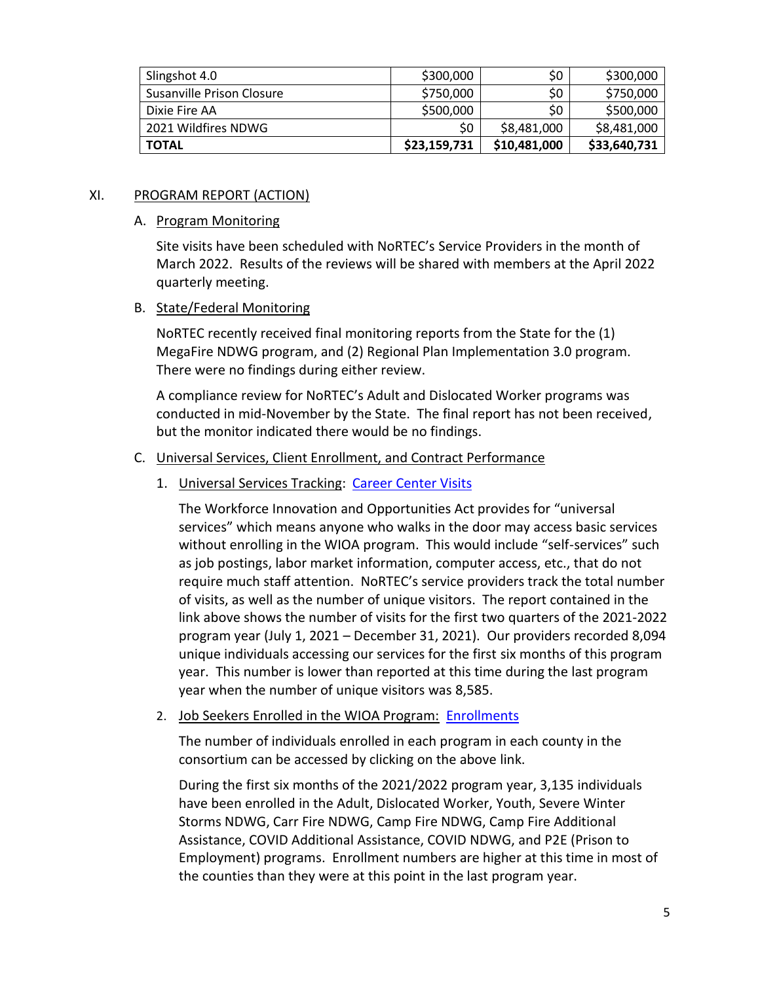| Slingshot 4.0             | \$300,000    | \$0          | \$300,000    |
|---------------------------|--------------|--------------|--------------|
| Susanville Prison Closure | \$750,000    | \$0          | \$750,000    |
| Dixie Fire AA             | \$500,000    | \$0          | \$500,000    |
| 2021 Wildfires NDWG       | \$0          | \$8,481,000  | \$8,481,000  |
| <b>TOTAL</b>              | \$23,159,731 | \$10,481,000 | \$33,640,731 |

### XI. PROGRAM REPORT (ACTION)

#### A. Program Monitoring

Site visits have been scheduled with NoRTEC's Service Providers in the month of March 2022. Results of the reviews will be shared with members at the April 2022 quarterly meeting.

### B. State/Federal Monitoring

NoRTEC recently received final monitoring reports from the State for the (1) MegaFire NDWG program, and (2) Regional Plan Implementation 3.0 program. There were no findings during either review.

A compliance review for NoRTEC's Adult and Dislocated Worker programs was conducted in mid-November by the State. The final report has not been received, but the monitor indicated there would be no findings.

### C. Universal Services, Client Enrollment, and Contract Performance

### 1. Universal Services Tracking: [Career Center Visits](https://www.ncen.org/images/documents/meetings/2021-2022/career-center-visits-123121.pdf)

The Workforce Innovation and Opportunities Act provides for "universal services" which means anyone who walks in the door may access basic services without enrolling in the WIOA program. This would include "self-services" such as job postings, labor market information, computer access, etc., that do not require much staff attention. NoRTEC's service providers track the total number of visits, as well as the number of unique visitors. The report contained in the link above shows the number of visits for the first two quarters of the 2021-2022 program year (July 1, 2021 – December 31, 2021). Our providers recorded 8,094 unique individuals accessing our services for the first six months of this program year. This number is lower than reported at this time during the last program year when the number of unique visitors was 8,585.

### 2. Job Seekers Enrolled in the WIOA Program: [Enrollments](https://www.ncen.org/images/documents/meetings/2021-2022/WIOA-enrollments-123121.pdf)

The number of individuals enrolled in each program in each county in the consortium can be accessed by clicking on the above link.

During the first six months of the 2021/2022 program year, 3,135 individuals have been enrolled in the Adult, Dislocated Worker, Youth, Severe Winter Storms NDWG, Carr Fire NDWG, Camp Fire NDWG, Camp Fire Additional Assistance, COVID Additional Assistance, COVID NDWG, and P2E (Prison to Employment) programs. Enrollment numbers are higher at this time in most of the counties than they were at this point in the last program year.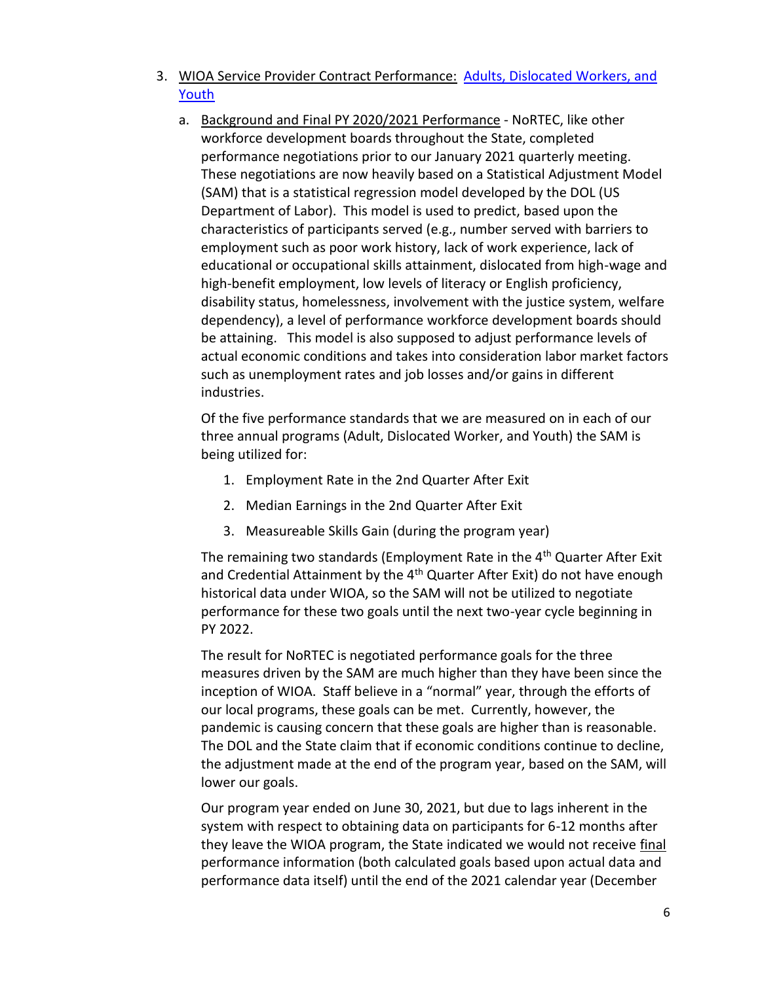- 3. WIOA Service Provider Contract Performance: [Adults, Dislocated Workers, and](https://www.ncen.org/images/documents/meetings/2021-2022/contract-performance-123121.pdf)  [Youth](https://www.ncen.org/images/documents/meetings/2021-2022/contract-performance-123121.pdf) 
	- a. Background and Final PY 2020/2021 Performance NoRTEC, like other workforce development boards throughout the State, completed performance negotiations prior to our January 2021 quarterly meeting. These negotiations are now heavily based on a Statistical Adjustment Model (SAM) that is a statistical regression model developed by the DOL (US Department of Labor). This model is used to predict, based upon the characteristics of participants served (e.g., number served with barriers to employment such as poor work history, lack of work experience, lack of educational or occupational skills attainment, dislocated from high-wage and high-benefit employment, low levels of literacy or English proficiency, disability status, homelessness, involvement with the justice system, welfare dependency), a level of performance workforce development boards should be attaining. This model is also supposed to adjust performance levels of actual economic conditions and takes into consideration labor market factors such as unemployment rates and job losses and/or gains in different industries.

Of the five performance standards that we are measured on in each of our three annual programs (Adult, Dislocated Worker, and Youth) the SAM is being utilized for:

- 1. Employment Rate in the 2nd Quarter After Exit
- 2. Median Earnings in the 2nd Quarter After Exit
- 3. Measureable Skills Gain (during the program year)

The remaining two standards (Employment Rate in the 4<sup>th</sup> Quarter After Exit and Credential Attainment by the  $4<sup>th</sup>$  Quarter After Exit) do not have enough historical data under WIOA, so the SAM will not be utilized to negotiate performance for these two goals until the next two-year cycle beginning in PY 2022.

The result for NoRTEC is negotiated performance goals for the three measures driven by the SAM are much higher than they have been since the inception of WIOA. Staff believe in a "normal" year, through the efforts of our local programs, these goals can be met. Currently, however, the pandemic is causing concern that these goals are higher than is reasonable. The DOL and the State claim that if economic conditions continue to decline, the adjustment made at the end of the program year, based on the SAM, will lower our goals.

Our program year ended on June 30, 2021, but due to lags inherent in the system with respect to obtaining data on participants for 6-12 months after they leave the WIOA program, the State indicated we would not receive final performance information (both calculated goals based upon actual data and performance data itself) until the end of the 2021 calendar year (December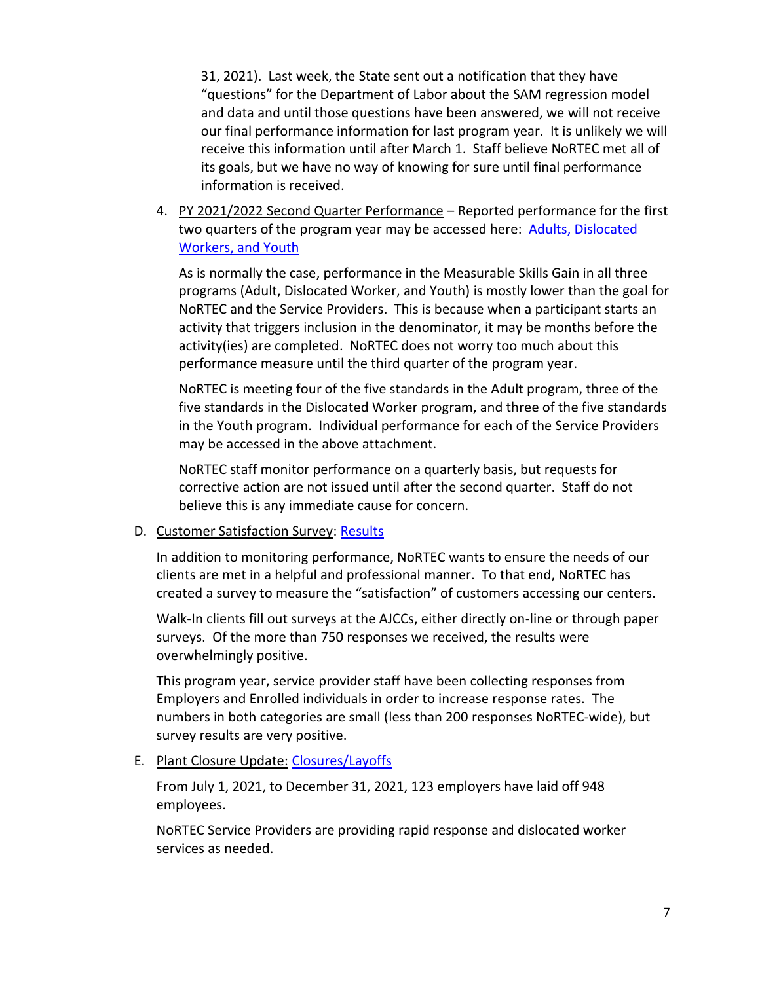31, 2021). Last week, the State sent out a notification that they have "questions" for the Department of Labor about the SAM regression model and data and until those questions have been answered, we will not receive our final performance information for last program year. It is unlikely we will receive this information until after March 1. Staff believe NoRTEC met all of its goals, but we have no way of knowing for sure until final performance information is received.

4. PY 2021/2022 Second Quarter Performance - Reported performance for the first two quarters of the program year may be accessed here: **Adults, Dislocated** [Workers, and Youth](https://www.ncen.org/images/documents/meetings/2021-2022/contract-performance-123121.pdf) 

As is normally the case, performance in the Measurable Skills Gain in all three programs (Adult, Dislocated Worker, and Youth) is mostly lower than the goal for NoRTEC and the Service Providers. This is because when a participant starts an activity that triggers inclusion in the denominator, it may be months before the activity(ies) are completed. NoRTEC does not worry too much about this performance measure until the third quarter of the program year.

NoRTEC is meeting four of the five standards in the Adult program, three of the five standards in the Dislocated Worker program, and three of the five standards in the Youth program. Individual performance for each of the Service Providers may be accessed in the above attachment.

NoRTEC staff monitor performance on a quarterly basis, but requests for corrective action are not issued until after the second quarter. Staff do not believe this is any immediate cause for concern.

#### D. Customer Satisfaction Survey: [Results](https://www.ncen.org/images/documents/meetings/2021-2022/customer-satisfaction-123121.pdf)

In addition to monitoring performance, NoRTEC wants to ensure the needs of our clients are met in a helpful and professional manner. To that end, NoRTEC has created a survey to measure the "satisfaction" of customers accessing our centers.

Walk-In clients fill out surveys at the AJCCs, either directly on-line or through paper surveys. Of the more than 750 responses we received, the results were overwhelmingly positive.

This program year, service provider staff have been collecting responses from Employers and Enrolled individuals in order to increase response rates. The numbers in both categories are small (less than 200 responses NoRTEC-wide), but survey results are very positive.

### E. Plant Closure Update: [Closures/Layoffs](https://www.ncen.org/images/documents/meetings/2021-2022/plant-closures-123121.pdf)

From July 1, 2021, to December 31, 2021, 123 employers have laid off 948 employees.

NoRTEC Service Providers are providing rapid response and dislocated worker services as needed.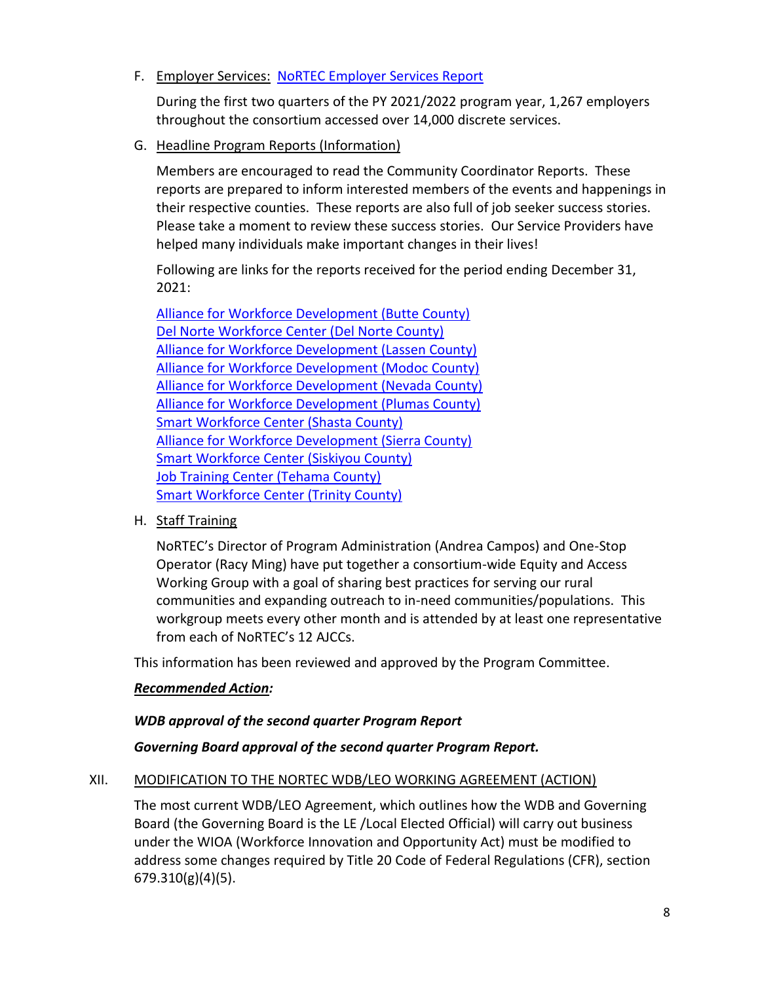## F. Employer Services: NoRTEC [Employer Services Report](https://www.ncen.org/images/documents/meetings/2021-2022/employer-services-123121.pdf)

During the first two quarters of the PY 2021/2022 program year, 1,267 employers throughout the consortium accessed over 14,000 discrete services.

G. Headline Program Reports (Information)

Members are encouraged to read the Community Coordinator Reports. These reports are prepared to inform interested members of the events and happenings in their respective counties. These reports are also full of job seeker success stories. Please take a moment to review these success stories. Our Service Providers have helped many individuals make important changes in their lives!

Following are links for the reports received for the period ending December 31, 2021:

[Alliance for Workforce Development \(Butte County\)](https://afwd.org/wp-content/uploads/ccr/CCR-Butte/butte_q4_21.pdf) [Del Norte Workforce Center \(Del Norte County\)](https://www.thesmartcenter.biz/sites/thesmartcenter.biz/files/2022-01/DEC%202021%20CC%20report%20del%20Norte.pdf) [Alliance for Workforce Development \(Lassen County\)](https://afwd.org/wp-content/uploads/ccr/CCR-Lassen/lassen_q4_21.pdf) [Alliance for Workforce Development \(Modoc County\)](https://afwd.org/wp-content/uploads/ccr/CCR-Modoc/modoc_q4_21.pdf) [Alliance for Workforce Development \(Nevada County\)](https://afwd.org/wp-content/uploads/ccr/CCR-Nevada/nevada_q4_21.pdf) [Alliance for Workforce Development \(Plumas County\)](https://afwd.org/wp-content/uploads/ccr/CCR-Plumas/plumas_q4_21.pdf) [Smart Workforce Center \(Shasta County\)](https://www.thesmartcenter.biz/sites/thesmartcenter.biz/files/2022-01/DEC%202021%20CC%20report%20shasta.pdf) [Alliance for Workforce Development \(Sierra County\)](https://afwd.org/wp-content/uploads/ccr/CCR-Sierra/sierra_q4_21.pdf) [Smart Workforce Center](https://www.thesmartcenter.biz/sites/thesmartcenter.biz/files/2022-01/DEC%202021%20CC%20report%20siskiyou.pdf) (Siskiyou County) [Job Training Center \(Tehama County\)](https://www.jobtrainingcenter.org/wp-content/uploads/2022/01/October-December-2021.pdf) Smart Workforce [Center \(Trinity County\)](https://www.thesmartcenter.biz/sites/thesmartcenter.biz/files/2022-01/DEC%202021%20CC%20report%20trinity.pdf)

H. Staff Training

NoRTEC's Director of Program Administration (Andrea Campos) and One-Stop Operator (Racy Ming) have put together a consortium-wide Equity and Access Working Group with a goal of sharing best practices for serving our rural communities and expanding outreach to in-need communities/populations. This workgroup meets every other month and is attended by at least one representative from each of NoRTEC's 12 AJCCs.

This information has been reviewed and approved by the Program Committee.

### *Recommended Action:*

#### *WDB approval of the second quarter Program Report*

### *Governing Board approval of the second quarter Program Report.*

#### XII. MODIFICATION TO THE NORTEC WDB/LEO WORKING AGREEMENT (ACTION)

The most current WDB/LEO Agreement, which outlines how the WDB and Governing Board (the Governing Board is the LE /Local Elected Official) will carry out business under the WIOA (Workforce Innovation and Opportunity Act) must be modified to address some changes required by Title 20 Code of Federal Regulations (CFR), section 679.310(g)(4)(5).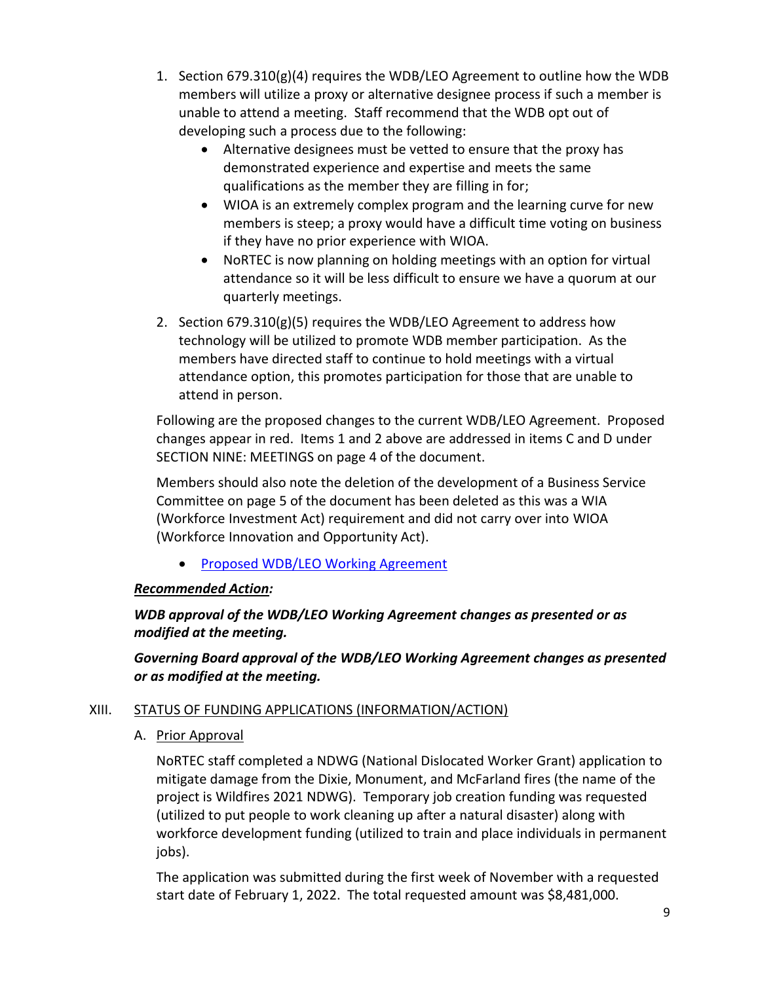- 1. Section  $679.310(g)(4)$  requires the WDB/LEO Agreement to outline how the WDB members will utilize a proxy or alternative designee process if such a member is unable to attend a meeting. Staff recommend that the WDB opt out of developing such a process due to the following:
	- Alternative designees must be vetted to ensure that the proxy has demonstrated experience and expertise and meets the same qualifications as the member they are filling in for;
	- WIOA is an extremely complex program and the learning curve for new members is steep; a proxy would have a difficult time voting on business if they have no prior experience with WIOA.
	- NoRTEC is now planning on holding meetings with an option for virtual attendance so it will be less difficult to ensure we have a quorum at our quarterly meetings.
- 2. Section 679.310(g)(5) requires the WDB/LEO Agreement to address how technology will be utilized to promote WDB member participation. As the members have directed staff to continue to hold meetings with a virtual attendance option, this promotes participation for those that are unable to attend in person.

Following are the proposed changes to the current WDB/LEO Agreement. Proposed changes appear in red. Items 1 and 2 above are addressed in items C and D under SECTION NINE: MEETINGS on page 4 of the document.

Members should also note the deletion of the development of a Business Service Committee on page 5 of the document has been deleted as this was a WIA (Workforce Investment Act) requirement and did not carry over into WIOA (Workforce Innovation and Opportunity Act).

• [Proposed WDB/LEO Working Agreement](https://www.ncen.org/images/documents/meetings/2021-2022/Draft-WDB-LEO-AGREEMENT.pdf)

# *Recommended Action:*

*WDB approval of the WDB/LEO Working Agreement changes as presented or as modified at the meeting.*

*Governing Board approval of the WDB/LEO Working Agreement changes as presented or as modified at the meeting.*

## XIII. STATUS OF FUNDING APPLICATIONS (INFORMATION/ACTION)

A. Prior Approval

NoRTEC staff completed a NDWG (National Dislocated Worker Grant) application to mitigate damage from the Dixie, Monument, and McFarland fires (the name of the project is Wildfires 2021 NDWG). Temporary job creation funding was requested (utilized to put people to work cleaning up after a natural disaster) along with workforce development funding (utilized to train and place individuals in permanent jobs).

The application was submitted during the first week of November with a requested start date of February 1, 2022. The total requested amount was \$8,481,000.